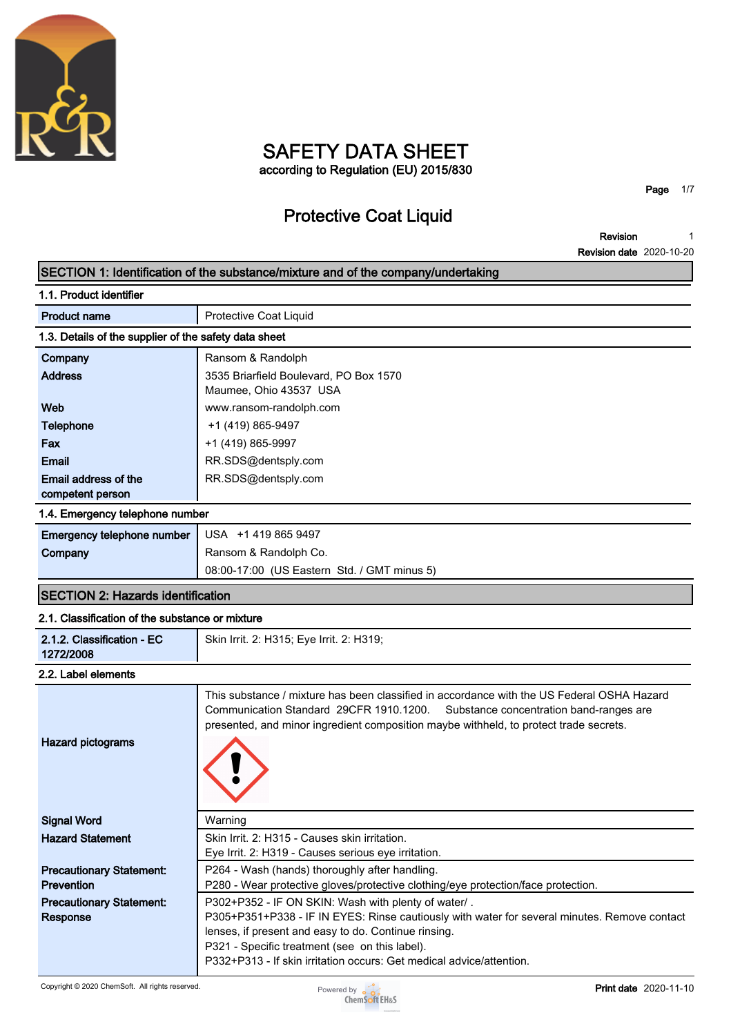

# **SAFETY DATA SHEET according to Regulation (EU) 2015/830**

# **Protective Coat Liquid**

**Page 1/7**

**Revision Revision date 2020-10-20 1**

|                                                       | SECTION 1: Identification of the substance/mixture and of the company/undertaking                                                                                                                                                                                                                                                     |  |  |
|-------------------------------------------------------|---------------------------------------------------------------------------------------------------------------------------------------------------------------------------------------------------------------------------------------------------------------------------------------------------------------------------------------|--|--|
| 1.1. Product identifier                               |                                                                                                                                                                                                                                                                                                                                       |  |  |
| <b>Product name</b>                                   | Protective Coat Liquid                                                                                                                                                                                                                                                                                                                |  |  |
| 1.3. Details of the supplier of the safety data sheet |                                                                                                                                                                                                                                                                                                                                       |  |  |
| Company                                               | Ransom & Randolph                                                                                                                                                                                                                                                                                                                     |  |  |
| <b>Address</b>                                        | 3535 Briarfield Boulevard, PO Box 1570<br>Maumee, Ohio 43537 USA                                                                                                                                                                                                                                                                      |  |  |
| Web                                                   | www.ransom-randolph.com                                                                                                                                                                                                                                                                                                               |  |  |
| <b>Telephone</b>                                      | +1 (419) 865-9497                                                                                                                                                                                                                                                                                                                     |  |  |
| Fax                                                   | +1 (419) 865-9997                                                                                                                                                                                                                                                                                                                     |  |  |
| <b>Email</b>                                          | RR.SDS@dentsply.com                                                                                                                                                                                                                                                                                                                   |  |  |
| Email address of the                                  | RR.SDS@dentsply.com                                                                                                                                                                                                                                                                                                                   |  |  |
| competent person                                      |                                                                                                                                                                                                                                                                                                                                       |  |  |
| 1.4. Emergency telephone number                       |                                                                                                                                                                                                                                                                                                                                       |  |  |
| Emergency telephone number                            | USA +1 419 865 9497                                                                                                                                                                                                                                                                                                                   |  |  |
| Company                                               | Ransom & Randolph Co.                                                                                                                                                                                                                                                                                                                 |  |  |
|                                                       | 08:00-17:00 (US Eastern Std. / GMT minus 5)                                                                                                                                                                                                                                                                                           |  |  |
| <b>SECTION 2: Hazards identification</b>              |                                                                                                                                                                                                                                                                                                                                       |  |  |
| 2.1. Classification of the substance or mixture       |                                                                                                                                                                                                                                                                                                                                       |  |  |
| 2.1.2. Classification - EC<br>1272/2008               | Skin Irrit. 2: H315; Eye Irrit. 2: H319;                                                                                                                                                                                                                                                                                              |  |  |
| 2.2. Label elements                                   |                                                                                                                                                                                                                                                                                                                                       |  |  |
| <b>Hazard pictograms</b>                              | This substance / mixture has been classified in accordance with the US Federal OSHA Hazard<br>Communication Standard 29CFR 1910.1200.<br>Substance concentration band-ranges are<br>presented, and minor ingredient composition maybe withheld, to protect trade secrets.                                                             |  |  |
| <b>Signal Word</b>                                    | Warning                                                                                                                                                                                                                                                                                                                               |  |  |
| <b>Hazard Statement</b>                               | Skin Irrit. 2: H315 - Causes skin irritation.                                                                                                                                                                                                                                                                                         |  |  |
|                                                       | Eye Irrit. 2: H319 - Causes serious eye irritation.                                                                                                                                                                                                                                                                                   |  |  |
| <b>Precautionary Statement:</b>                       | P264 - Wash (hands) thoroughly after handling.                                                                                                                                                                                                                                                                                        |  |  |
| <b>Prevention</b>                                     | P280 - Wear protective gloves/protective clothing/eye protection/face protection.                                                                                                                                                                                                                                                     |  |  |
| <b>Precautionary Statement:</b><br>Response           | P302+P352 - IF ON SKIN: Wash with plenty of water/.<br>P305+P351+P338 - IF IN EYES: Rinse cautiously with water for several minutes. Remove contact<br>lenses, if present and easy to do. Continue rinsing.<br>P321 - Specific treatment (see on this label).<br>P332+P313 - If skin irritation occurs: Get medical advice/attention. |  |  |

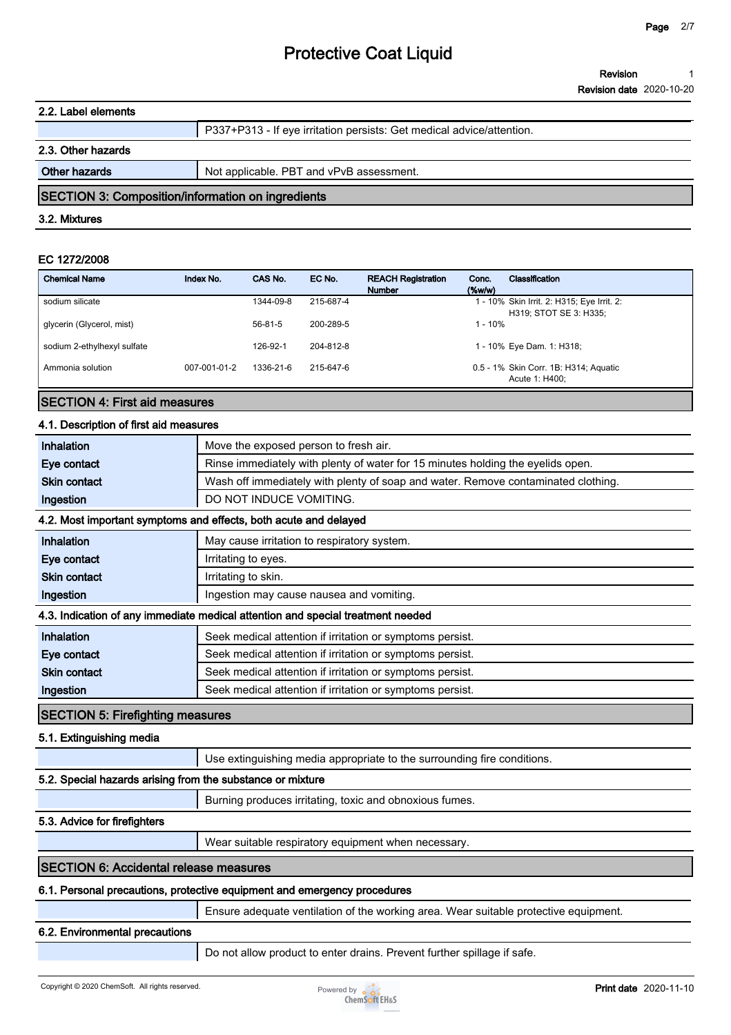| Revision                        |  |
|---------------------------------|--|
| <b>Revision date 2020-10-20</b> |  |

#### **2.2. Label elements**

|                    | P337+P313 - If eye irritation persists: Get medical advice/attention. |
|--------------------|-----------------------------------------------------------------------|
| 2.3. Other hazards |                                                                       |

**Other hazards Not applicable. PBT and vPvB assessment.** 

### **SECTION 3: Composition/information on ingredients**

#### **3.2. Mixtures**

#### **EC 1272/2008**

| <b>Chemical Name</b>        | Index No.    | CAS No.   | EC No.    | <b>REACH Registration</b><br><b>Number</b> | Conc.<br>(%w/w) | Classification                                                       |
|-----------------------------|--------------|-----------|-----------|--------------------------------------------|-----------------|----------------------------------------------------------------------|
| sodium silicate             |              | 1344-09-8 | 215-687-4 |                                            |                 | 1 - 10% Skin Irrit. 2: H315; Eye Irrit. 2:<br>H319; STOT SE 3: H335; |
| glycerin (Glycerol, mist)   |              | 56-81-5   | 200-289-5 |                                            | $1 - 10%$       |                                                                      |
| sodium 2-ethylhexyl sulfate |              | 126-92-1  | 204-812-8 |                                            |                 | 1 - 10% Eye Dam. 1: H318;                                            |
| Ammonia solution            | 007-001-01-2 | 1336-21-6 | 215-647-6 |                                            |                 | 0.5 - 1% Skin Corr. 1B: H314; Aguatic<br>Acute 1: H400:              |

### **SECTION 4: First aid measures**

### **4.1. Description of first aid measures**

| Inhalation                                                 | Move the exposed person to fresh air.                                                |
|------------------------------------------------------------|--------------------------------------------------------------------------------------|
| Eye contact                                                | Rinse immediately with plenty of water for 15 minutes holding the eyelids open.      |
| <b>Skin contact</b>                                        | Wash off immediately with plenty of soap and water. Remove contaminated clothing.    |
| Ingestion                                                  | DO NOT INDUCE VOMITING.                                                              |
|                                                            | 4.2. Most important symptoms and effects, both acute and delayed                     |
| Inhalation                                                 | May cause irritation to respiratory system.                                          |
| Eye contact                                                | Irritating to eyes.                                                                  |
| <b>Skin contact</b>                                        | Irritating to skin.                                                                  |
| Ingestion                                                  | Ingestion may cause nausea and vomiting.                                             |
|                                                            | 4.3. Indication of any immediate medical attention and special treatment needed      |
| Inhalation                                                 | Seek medical attention if irritation or symptoms persist.                            |
| Eye contact                                                | Seek medical attention if irritation or symptoms persist.                            |
| <b>Skin contact</b>                                        | Seek medical attention if irritation or symptoms persist.                            |
| Ingestion                                                  | Seek medical attention if irritation or symptoms persist.                            |
| <b>SECTION 5: Firefighting measures</b>                    |                                                                                      |
| 5.1. Extinguishing media                                   |                                                                                      |
|                                                            | Use extinguishing media appropriate to the surrounding fire conditions.              |
| 5.2. Special hazards arising from the substance or mixture |                                                                                      |
|                                                            | Burning produces irritating, toxic and obnoxious fumes.                              |
| 5.3. Advice for firefighters                               |                                                                                      |
|                                                            | Wear suitable respiratory equipment when necessary.                                  |
| <b>SECTION 6: Accidental release measures</b>              |                                                                                      |
|                                                            | 6.1. Personal precautions, protective equipment and emergency procedures             |
|                                                            | Ensure adequate ventilation of the working area. Wear suitable protective equipment. |
| 6.2. Environmental precautions                             |                                                                                      |

**Do not allow product to enter drains. Prevent further spillage if safe.**

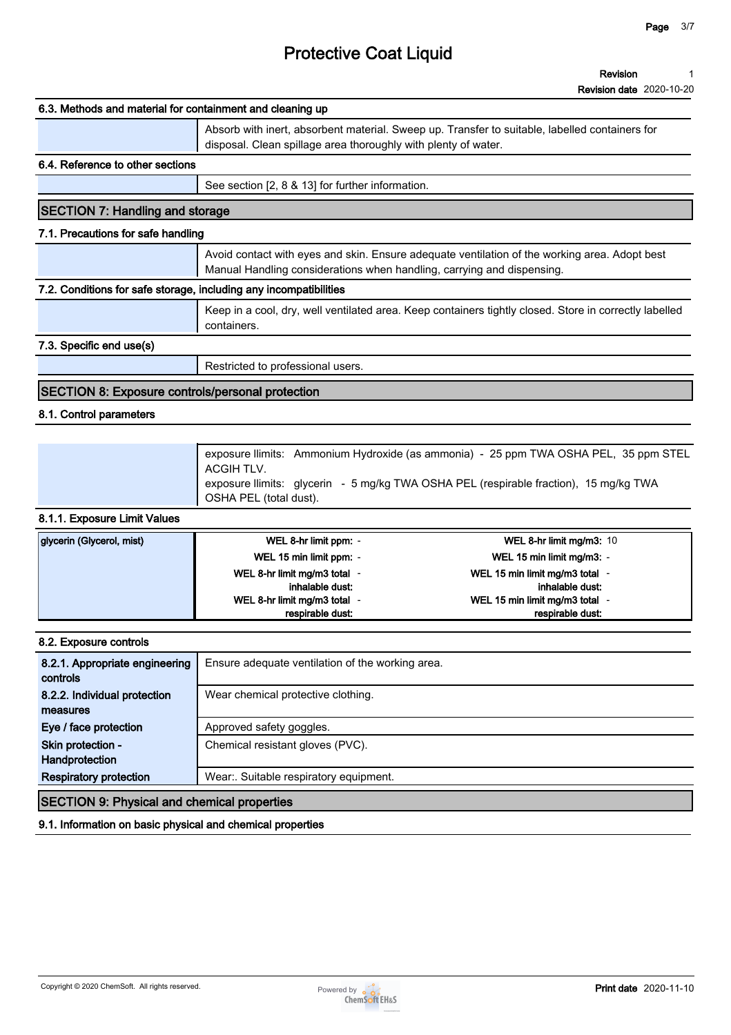#### **Revision 1**

**Revision date 2020-10-20**

# **6.3. Methods and material for containment and cleaning up Absorb with inert, absorbent material. Sweep up. Transfer to suitable, labelled containers for disposal. Clean spillage area thoroughly with plenty of water. 6.4. Reference to other sections See section [2, 8 & 13] for further information. SECTION 7: Handling and storage 7.1. Precautions for safe handling Avoid contact with eyes and skin. Ensure adequate ventilation of the working area. Adopt best Manual Handling considerations when handling, carrying and dispensing. 7.2. Conditions for safe storage, including any incompatibilities Keep in a cool, dry, well ventilated area. Keep containers tightly closed. Store in correctly labelled containers. 7.3. Specific end use(s) Restricted to professional users.**

# **SECTION 8: Exposure controls/personal protection**

# **8.1. Control parameters**

| exposure llimits: Ammonium Hydroxide (as ammonia) - 25 ppm TWA OSHA PEL, 35 ppm STEL<br>ACGIH TLV.              |
|-----------------------------------------------------------------------------------------------------------------|
| exposure llimits: glycerin - 5 mg/kg TWA OSHA PEL (respirable fraction), 15 mg/kg TWA<br>OSHA PEL (total dust). |

# **8.1.1. Exposure Limit Values**

| glycerin (Glycerol, mist) | WEL 8-hr limit ppm: -        | WEL 8-hr limit mg/m3: $10$     |
|---------------------------|------------------------------|--------------------------------|
|                           | WEL 15 min limit ppm: -      | WEL 15 min limit mg/m3: -      |
|                           | WEL 8-hr limit mg/m3 total - | WEL 15 min limit mg/m3 total - |
|                           | inhalable dust:              | inhalable dust:                |
|                           | WEL 8-hr limit mg/m3 total - | WEL 15 min limit mg/m3 total - |
|                           | respirable dust:             | respirable dust:               |

| 8.2. Exposure controls                             |                                                  |
|----------------------------------------------------|--------------------------------------------------|
| 8.2.1. Appropriate engineering<br>controls         | Ensure adequate ventilation of the working area. |
| 8.2.2. Individual protection<br>measures           | Wear chemical protective clothing.               |
| Eye / face protection                              | Approved safety goggles.                         |
| Skin protection -<br>Handprotection                | Chemical resistant gloves (PVC).                 |
| <b>Respiratory protection</b>                      | Wear: Suitable respiratory equipment.            |
| <b>SECTION 9: Physical and chemical properties</b> |                                                  |
|                                                    |                                                  |

**9.1. Information on basic physical and chemical properties**

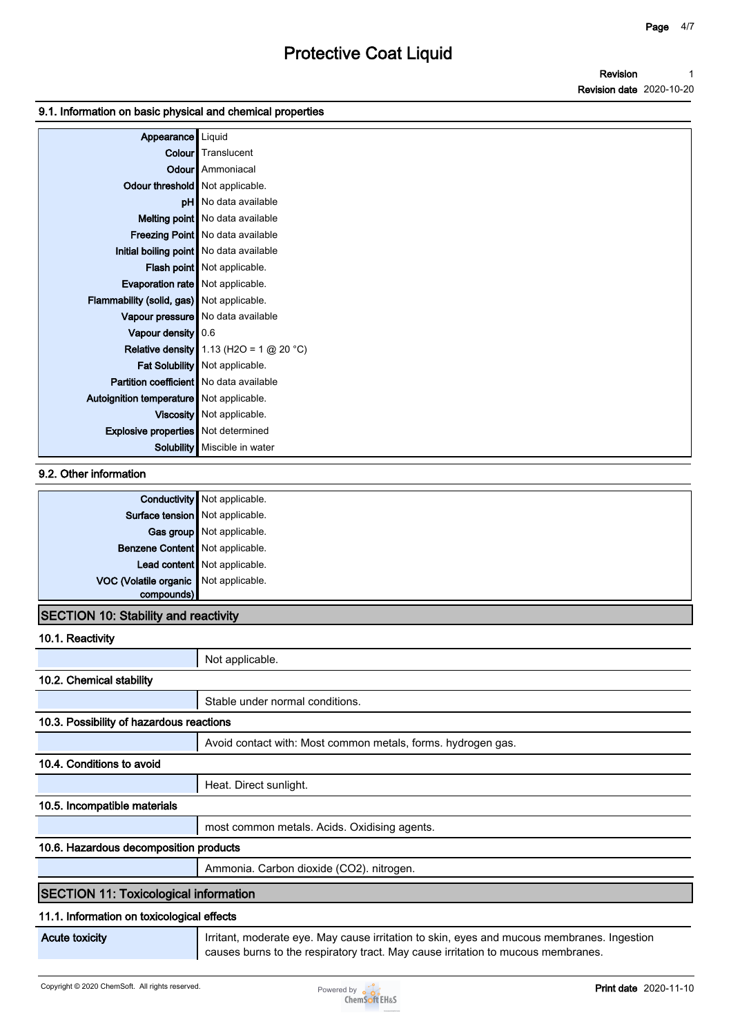### **9.1. Information on basic physical and chemical properties**

| Appearance                                     | Liquid                                             |
|------------------------------------------------|----------------------------------------------------|
|                                                | <b>Colour</b> Translucent                          |
|                                                | <b>Odour</b> Ammoniacal                            |
| Odour threshold   Not applicable.              |                                                    |
|                                                | pH No data available                               |
|                                                | Melting point   No data available                  |
|                                                | Freezing Point   No data available                 |
|                                                | Initial boiling point   No data available          |
|                                                | Flash point   Not applicable.                      |
| Evaporation rate   Not applicable.             |                                                    |
| Flammability (solid, gas) Not applicable.      |                                                    |
|                                                | Vapour pressure   No data available                |
| Vapour density 0.6                             |                                                    |
|                                                | <b>Relative density</b> $1.13$ (H2O = 1 $@$ 20 °C) |
|                                                | Fat Solubility   Not applicable.                   |
| <b>Partition coefficient</b> No data available |                                                    |
| Autoignition temperature Not applicable.       |                                                    |
|                                                | Viscosity   Not applicable.                        |
| <b>Explosive properties</b> Not determined     |                                                    |
|                                                | <b>Solubility</b> Miscible in water                |

### **9.2. Other information**

|                                       | <b>Conductivity</b> Not applicable. |
|---------------------------------------|-------------------------------------|
| Surface tension Not applicable.       |                                     |
|                                       | Gas group Not applicable.           |
| Benzene Content   Not applicable.     |                                     |
|                                       | Lead content Not applicable.        |
| VOC (Volatile organic Not applicable. |                                     |
| compounds)                            |                                     |

# **SECTION 10: Stability and reactivity**

**10.1. Reactivity**

|                                              | Not applicable.                                                                            |
|----------------------------------------------|--------------------------------------------------------------------------------------------|
| 10.2. Chemical stability                     |                                                                                            |
|                                              | Stable under normal conditions.                                                            |
| 10.3. Possibility of hazardous reactions     |                                                                                            |
|                                              | Avoid contact with: Most common metals, forms. hydrogen gas.                               |
| 10.4. Conditions to avoid                    |                                                                                            |
|                                              | Heat. Direct sunlight.                                                                     |
| 10.5. Incompatible materials                 |                                                                                            |
|                                              | most common metals. Acids. Oxidising agents.                                               |
| 10.6. Hazardous decomposition products       |                                                                                            |
|                                              | Ammonia. Carbon dioxide (CO2). nitrogen.                                                   |
| <b>SECTION 11: Toxicological information</b> |                                                                                            |
| 11.1. Information on toxicological effects   |                                                                                            |
| <b>Acute toxicity</b>                        | Irritant, moderate eye. May cause irritation to skin, eyes and mucous membranes. Ingestion |

#### **causes burns to the respiratory tract. May cause irritation to mucous membranes.**

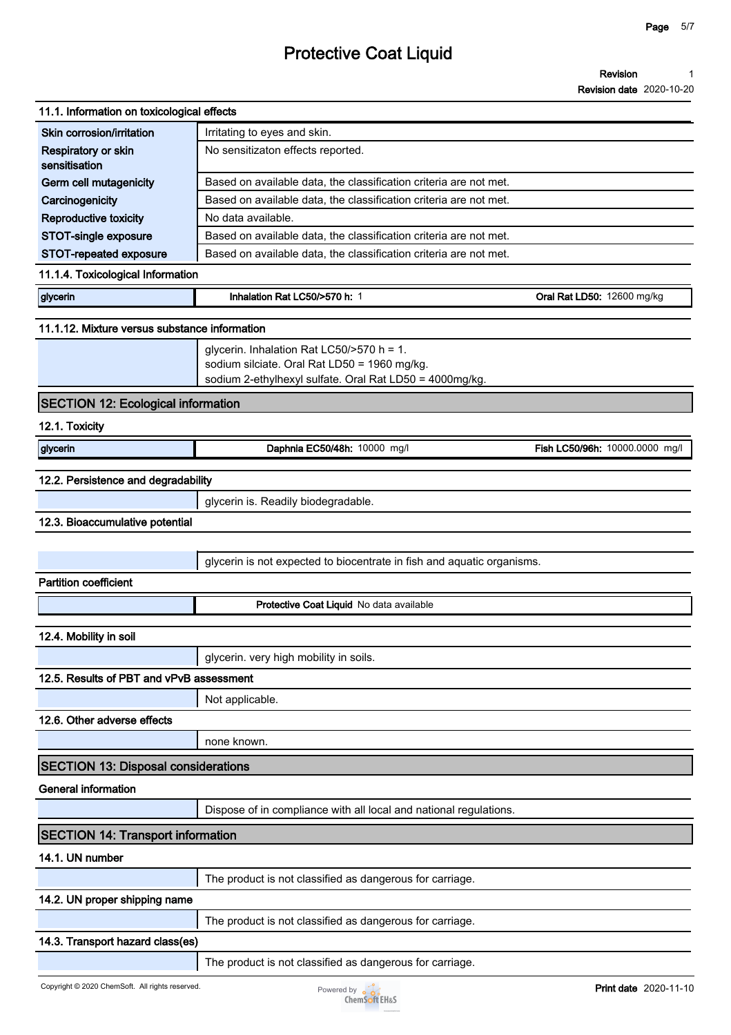#### **Revision 1**

**Revision date 2020-10-20**

| 11.1. Information on toxicological effects    |                                                                        |                                |
|-----------------------------------------------|------------------------------------------------------------------------|--------------------------------|
| Skin corrosion/irritation                     | Irritating to eyes and skin.                                           |                                |
| Respiratory or skin<br>sensitisation          | No sensitizaton effects reported.                                      |                                |
| <b>Germ cell mutagenicity</b>                 | Based on available data, the classification criteria are not met.      |                                |
| Carcinogenicity                               | Based on available data, the classification criteria are not met.      |                                |
| Reproductive toxicity                         | No data available.                                                     |                                |
| STOT-single exposure                          | Based on available data, the classification criteria are not met.      |                                |
| STOT-repeated exposure                        | Based on available data, the classification criteria are not met.      |                                |
| 11.1.4. Toxicological Information             |                                                                        |                                |
| glycerin                                      | Inhalation Rat LC50/>570 h: 1                                          | Oral Rat LD50: 12600 mg/kg     |
| 11.1.12. Mixture versus substance information |                                                                        |                                |
|                                               | glycerin. Inhalation Rat LC50/>570 h = 1.                              |                                |
|                                               | sodium silciate. Oral Rat LD50 = 1960 mg/kg.                           |                                |
|                                               | sodium 2-ethylhexyl sulfate. Oral Rat LD50 = 4000mg/kg.                |                                |
| <b>SECTION 12: Ecological information</b>     |                                                                        |                                |
| 12.1. Toxicity                                |                                                                        |                                |
| glycerin                                      | Daphnia EC50/48h: 10000 mg/l                                           | Fish LC50/96h: 10000.0000 mg/l |
| 12.2. Persistence and degradability           |                                                                        |                                |
|                                               | glycerin is. Readily biodegradable.                                    |                                |
| 12.3. Bioaccumulative potential               |                                                                        |                                |
|                                               |                                                                        |                                |
|                                               | glycerin is not expected to biocentrate in fish and aquatic organisms. |                                |
| <b>Partition coefficient</b>                  |                                                                        |                                |
|                                               | Protective Coat Liquid No data available                               |                                |
| 12.4. Mobility in soil                        |                                                                        |                                |
|                                               | glycerin. very high mobility in soils.                                 |                                |
| 12.5. Results of PBT and vPvB assessment      |                                                                        |                                |
|                                               | Not applicable.                                                        |                                |
| 12.6. Other adverse effects                   |                                                                        |                                |
|                                               | none known.                                                            |                                |
| <b>SECTION 13: Disposal considerations</b>    |                                                                        |                                |
|                                               |                                                                        |                                |
| <b>General information</b>                    |                                                                        |                                |
|                                               | Dispose of in compliance with all local and national regulations.      |                                |
| <b>SECTION 14: Transport information</b>      |                                                                        |                                |
| 14.1. UN number                               |                                                                        |                                |
|                                               | The product is not classified as dangerous for carriage.               |                                |
| 14.2. UN proper shipping name                 |                                                                        |                                |
|                                               | The product is not classified as dangerous for carriage.               |                                |

**The product is not classified as dangerous for carriage.**

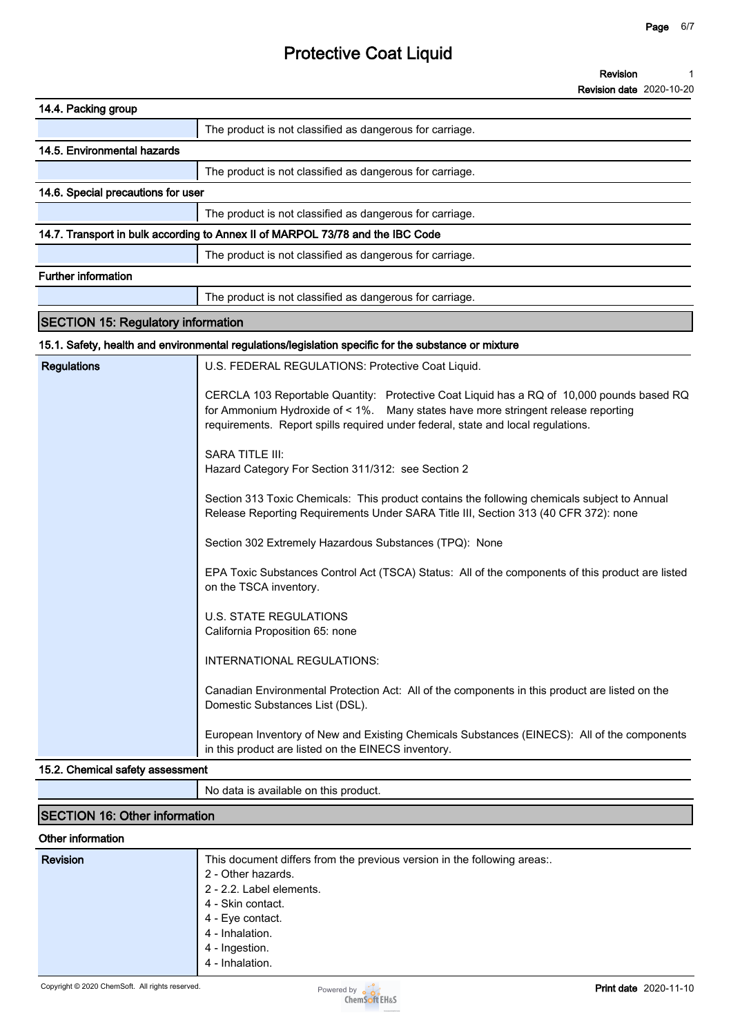**Revision Revision date 2020-10-20 1**

| 14.4. Packing group                                                                                                                                                                                                                                                                                                                                |  |  |
|----------------------------------------------------------------------------------------------------------------------------------------------------------------------------------------------------------------------------------------------------------------------------------------------------------------------------------------------------|--|--|
| The product is not classified as dangerous for carriage.                                                                                                                                                                                                                                                                                           |  |  |
| 14.5. Environmental hazards                                                                                                                                                                                                                                                                                                                        |  |  |
| The product is not classified as dangerous for carriage.                                                                                                                                                                                                                                                                                           |  |  |
| 14.6. Special precautions for user                                                                                                                                                                                                                                                                                                                 |  |  |
| The product is not classified as dangerous for carriage.                                                                                                                                                                                                                                                                                           |  |  |
| 14.7. Transport in bulk according to Annex II of MARPOL 73/78 and the IBC Code                                                                                                                                                                                                                                                                     |  |  |
| The product is not classified as dangerous for carriage.                                                                                                                                                                                                                                                                                           |  |  |
| <b>Further information</b>                                                                                                                                                                                                                                                                                                                         |  |  |
| The product is not classified as dangerous for carriage.                                                                                                                                                                                                                                                                                           |  |  |
| <b>SECTION 15: Regulatory information</b>                                                                                                                                                                                                                                                                                                          |  |  |
| 15.1. Safety, health and environmental regulations/legislation specific for the substance or mixture                                                                                                                                                                                                                                               |  |  |
| <b>Regulations</b><br>U.S. FEDERAL REGULATIONS: Protective Coat Liquid.                                                                                                                                                                                                                                                                            |  |  |
| CERCLA 103 Reportable Quantity: Protective Coat Liquid has a RQ of 10,000 pounds based RQ<br>for Ammonium Hydroxide of < 1%. Many states have more stringent release reporting<br>requirements. Report spills required under federal, state and local regulations.<br><b>SARA TITLE III:</b><br>Hazard Category For Section 311/312: see Section 2 |  |  |
| Section 313 Toxic Chemicals: This product contains the following chemicals subject to Annual<br>Release Reporting Requirements Under SARA Title III, Section 313 (40 CFR 372): none                                                                                                                                                                |  |  |
| Section 302 Extremely Hazardous Substances (TPQ): None                                                                                                                                                                                                                                                                                             |  |  |
| EPA Toxic Substances Control Act (TSCA) Status: All of the components of this product are listed<br>on the TSCA inventory.                                                                                                                                                                                                                         |  |  |
| <b>U.S. STATE REGULATIONS</b><br>California Proposition 65: none                                                                                                                                                                                                                                                                                   |  |  |
| INTERNATIONAL REGULATIONS:                                                                                                                                                                                                                                                                                                                         |  |  |
| Canadian Environmental Protection Act: All of the components in this product are listed on the<br>Domestic Substances List (DSL).                                                                                                                                                                                                                  |  |  |
| European Inventory of New and Existing Chemicals Substances (EINECS): All of the components<br>in this product are listed on the EINECS inventory.                                                                                                                                                                                                 |  |  |
| 15.2. Chemical safety assessment                                                                                                                                                                                                                                                                                                                   |  |  |

### **No data is available on this product.**

# **SECTION 16: Other information**

#### **Other information**